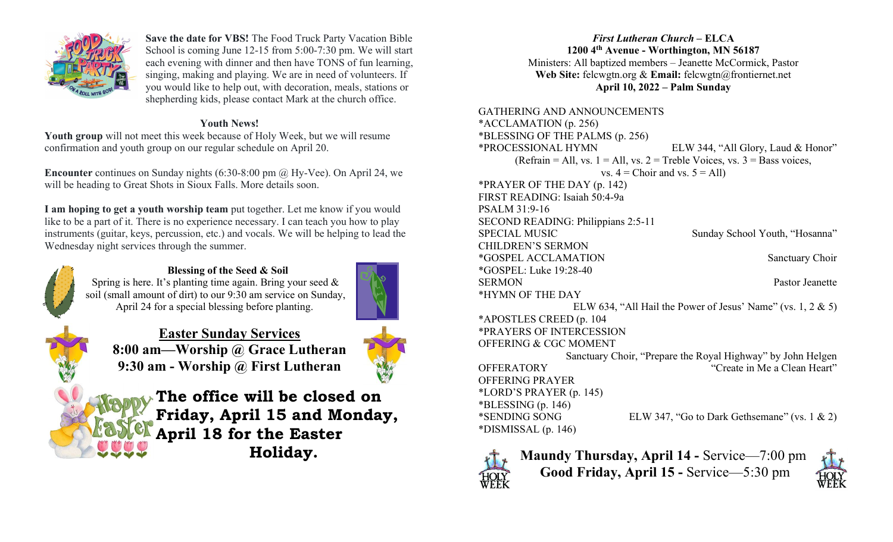

Save the date for VBS! The Food Truck Party Vacation Bible School is coming June 12-15 from 5:00-7:30 pm. We will start each evening with dinner and then have TONS of fun learning, singing, making and playing. We are in need of volunteers. If you would like to help out, with decoration, meals, stations or shepherding kids, please contact Mark at the church office.

## Youth News!

Youth group will not meet this week because of Holy Week, but we will resume confirmation and youth group on our regular schedule on April 20.

Encounter continues on Sunday nights (6:30-8:00 pm @ Hy-Vee). On April 24, we will be heading to Great Shots in Sioux Falls. More details soon.

I am hoping to get a youth worship team put together. Let me know if you would like to be a part of it. There is no experience necessary. I can teach you how to play instruments (guitar, keys, percussion, etc.) and vocals. We will be helping to lead the Wednesday night services through the summer.



Blessing of the Seed & Soil Spring is here. It's planting time again. Bring your seed & soil (small amount of dirt) to our 9:30 am service on Sunday, April 24 for a special blessing before planting.



Easter Sunday Services 8:00 am—Worship @ Grace Lutheran 9:30 am - Worship @ First Lutheran



The office will be closed on Friday, April 15 and Monday, April 18 for the Easter Holiday.

## First Lutheran Church – ELCA 1200 4th Avenue - Worthington, MN 56187 Ministers: All baptized members – Jeanette McCormick, Pastor Web Site: felcwgtn.org & Email: felcwgtn@frontiernet.net April 10, 2022 – Palm Sunday

GATHERING AND ANNOUNCEMENTS \*ACCLAMATION (p. 256) \*BLESSING OF THE PALMS (p. 256) \*PROCESSIONAL HYMN ELW 344, "All Glory, Laud & Honor" (Refrain = All, vs.  $1 =$  All, vs.  $2 =$  Treble Voices, vs.  $3 =$  Bass voices, vs.  $4 =$ Choir and vs.  $5 =$ All) \*PRAYER OF THE DAY (p. 142) FIRST READING: Isaiah 50:4-9a PSALM 31:9-16 SECOND READING: Philippians 2:5-11 SPECIAL MUSIC Sunday School Youth, "Hosanna" CHILDREN'S SERMON \*GOSPEL ACCLAMATION Sanctuary Choir \*GOSPEL: Luke 19:28-40 SERMON Pastor Jeanette \*HYMN OF THE DAY ELW 634, "All Hail the Power of Jesus' Name" (vs. 1, 2 & 5) \*APOSTLES CREED (p. 104 \*PRAYERS OF INTERCESSION OFFERING & CGC MOMENT Sanctuary Choir, "Prepare the Royal Highway" by John Helgen OFFERATORY "Create in Me a Clean Heart" OFFERING PRAYER \*LORD'S PRAYER (p. 145)  $*BLESSING (p. 146)$ \*SENDING SONG ELW 347, "Go to Dark Gethsemane" (vs. 1 & 2) \*DISMISSAL (p. 146)



Maundy Thursday, April 14 - Service—7:00 pm Good Friday, April 15 - Service—5:30 pm